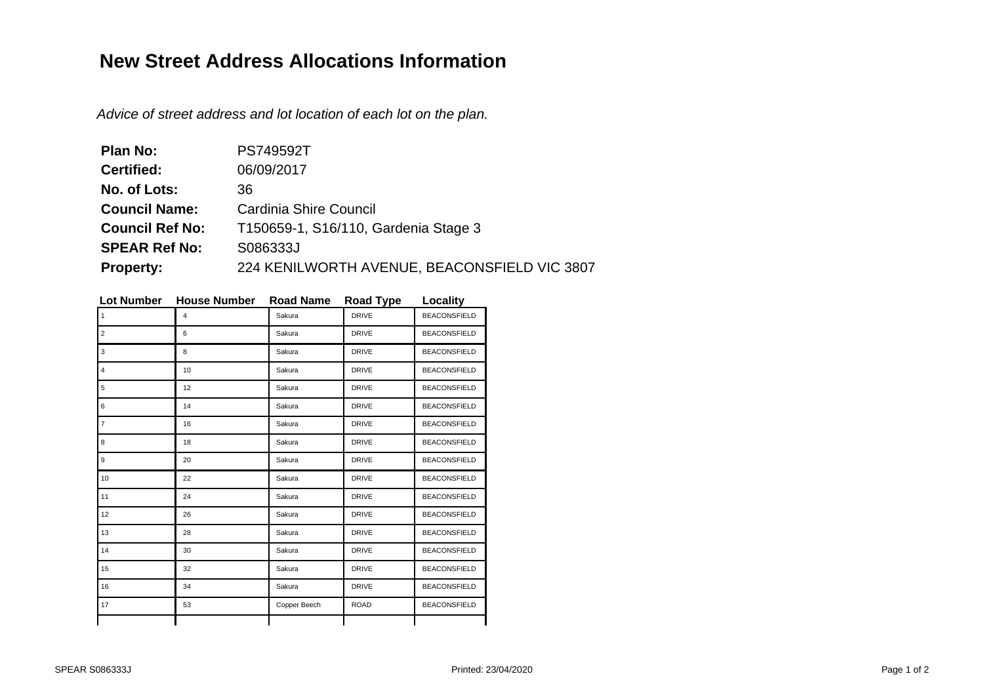## **New Street Address Allocations Information**

Advice of street address and lot location of each lot on the plan.

| Plan No:               | <b>PS749592T</b>                             |  |  |
|------------------------|----------------------------------------------|--|--|
| <b>Certified:</b>      | 06/09/2017                                   |  |  |
| No. of Lots:           | 36                                           |  |  |
| <b>Council Name:</b>   | Cardinia Shire Council                       |  |  |
| <b>Council Ref No:</b> | T150659-1, S16/110, Gardenia Stage 3         |  |  |
| <b>SPEAR Ref No:</b>   | S086333J                                     |  |  |
| <b>Property:</b>       | 224 KENILWORTH AVENUE, BEACONSFIELD VIC 3807 |  |  |

| <b>Lot Number</b> | <b>House Number</b> | <b>Road Name</b> | <b>Road Type</b> | Locality            |
|-------------------|---------------------|------------------|------------------|---------------------|
| $\mathbf{1}$      | 4                   | Sakura           | <b>DRIVE</b>     | <b>BEACONSFIELD</b> |
| 2                 | 6                   | Sakura           | <b>DRIVE</b>     | <b>BEACONSFIELD</b> |
| 3                 | 8                   | Sakura           | <b>DRIVE</b>     | <b>BEACONSFIELD</b> |
| $\overline{4}$    | 10                  | Sakura           | <b>DRIVE</b>     | <b>BEACONSFIELD</b> |
| 5                 | 12                  | Sakura           | <b>DRIVE</b>     | <b>BEACONSFIELD</b> |
| 6                 | 14                  | Sakura           | <b>DRIVE</b>     | <b>BEACONSFIELD</b> |
| $\overline{7}$    | 16                  | Sakura           | <b>DRIVE</b>     | <b>BEACONSFIELD</b> |
| 8                 | 18                  | Sakura           | <b>DRIVE</b>     | <b>BEACONSFIELD</b> |
| 9                 | 20                  | Sakura           | <b>DRIVE</b>     | <b>BEACONSFIELD</b> |
| 10                | 22                  | Sakura           | <b>DRIVE</b>     | <b>BEACONSFIELD</b> |
| 11                | 24                  | Sakura           | <b>DRIVE</b>     | <b>BEACONSFIELD</b> |
| 12                | 26                  | Sakura           | <b>DRIVE</b>     | <b>BEACONSFIELD</b> |
| 13                | 28                  | Sakura           | <b>DRIVE</b>     | <b>BEACONSFIELD</b> |
| 14                | 30                  | Sakura           | <b>DRIVE</b>     | <b>BEACONSFIELD</b> |
| 15                | 32                  | Sakura           | <b>DRIVE</b>     | <b>BEACONSFIELD</b> |
| 16                | 34                  | Sakura           | <b>DRIVE</b>     | <b>BEACONSFIELD</b> |
| 17                | 53                  | Copper Beech     | <b>ROAD</b>      | <b>BEACONSFIELD</b> |
|                   |                     |                  |                  |                     |